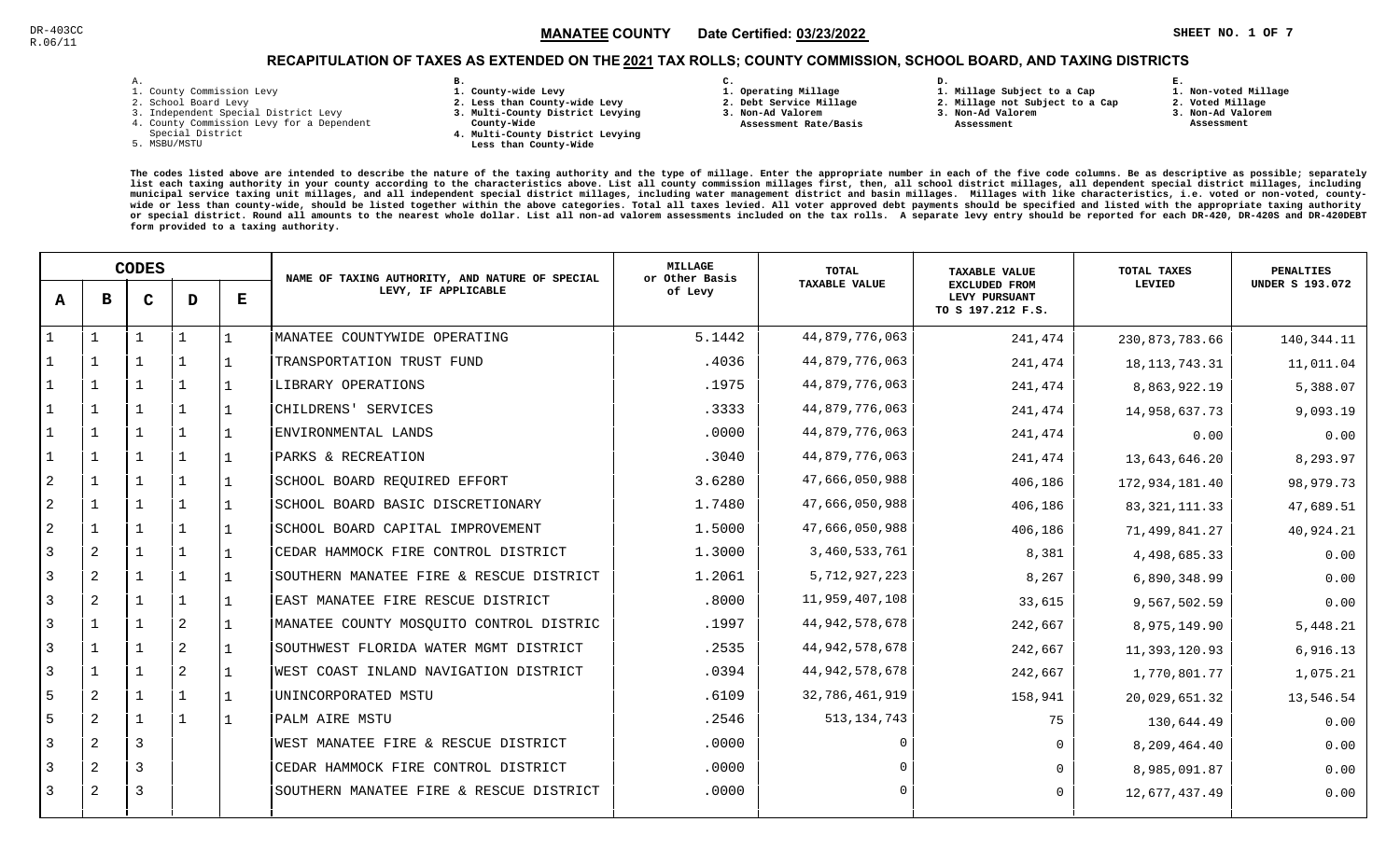### $\mathbb{S}^3$  and  $\mathbb{S}^4$  and  $\mathbb{S}^4$  and  $\mathbb{S}^4$  and  $\mathbb{S}^4$  and  $\mathbb{S}^4$  and  $\mathbb{S}^4$  and  $\mathbb{S}^4$  and  $\mathbb{S}^4$  and  $\mathbb{S}^4$  and  $\mathbb{S}^4$  and  $\mathbb{S}^4$  and  $\mathbb{S}^4$  and  $\mathbb{S}^4$  and  $\mathbb{S}^4$  MANATEE CO

**1. Non-voted Millage**

### RECAPITULATION OF TAXES AS EXTENDED ON THE <u>2021</u> TAX ROLLS; COUNTY COMMISSION, SCHOOL BOARD, AND TAXING DISTRICTS

| i. |  |  |
|----|--|--|

- 1. County Commission Levy
- 2. School Board Levy
- 3. Independent Special District Levy
- 4. County Commission Levy for a Dependent
- Special District
- 5. MSBU/MSTU
- **B. 1. County-wide Levy**
- **2. Less than County-wide Levy**
- **3. Multi-County District Levying**
- **County-Wide** 
	- **4. Multi-County District Levying Less than County-Wide**

**C.** 

**3. Non-Ad Valorem Assessment Rate/Basis**

- **1. Operating Millage 2. Debt Service Millage**
- **1. Millage Subject to a Cap**

**D.** 

- **2. Millage not Subject to a Cap3. Non-Ad Valorem**
	- **Assessment**
- 
- **2. Voted Millage3. Non-Ad Valorem**

**E.**

 **Assessment**

|                | <b>CODES</b>   |   |              |   | NAME OF TAXING AUTHORITY, AND NATURE OF SPECIAL | <b>MILLAGE</b><br>or Other Basis | <b>TOTAL</b>         | <b>TAXABLE VALUE</b>                                       | TOTAL TAXES      | <b>PENALTIES</b>       |
|----------------|----------------|---|--------------|---|-------------------------------------------------|----------------------------------|----------------------|------------------------------------------------------------|------------------|------------------------|
| A              | в              | C | D            | Е | LEVY, IF APPLICABLE                             | of Levy                          | <b>TAXABLE VALUE</b> | <b>EXCLUDED FROM</b><br>LEVY PURSUANT<br>TO S 197.212 F.S. | LEVIED           | <b>UNDER S 193.072</b> |
|                |                |   | $\mathbf{1}$ |   | MANATEE COUNTYWIDE OPERATING                    | 5.1442                           | 44,879,776,063       | 241,474                                                    | 230,873,783.66   | 140,344.11             |
|                |                |   | 1            |   | TRANSPORTATION TRUST FUND                       | .4036                            | 44,879,776,063       | 241,474                                                    | 18, 113, 743. 31 | 11,011.04              |
|                |                |   | $\mathbf 1$  |   | LIBRARY OPERATIONS                              | .1975                            | 44,879,776,063       | 241,474                                                    | 8,863,922.19     | 5,388.07               |
|                |                |   | $1\,$        |   | CHILDRENS' SERVICES                             | .3333                            | 44,879,776,063       | 241,474                                                    | 14,958,637.73    | 9,093.19               |
|                |                |   | $\mathbf 1$  |   | ENVIRONMENTAL LANDS                             | .0000                            | 44,879,776,063       | 241,474                                                    | 0.00             | 0.00                   |
|                | 1              |   | 1            |   | PARKS & RECREATION                              | .3040                            | 44,879,776,063       | 241,474                                                    | 13,643,646.20    | 8,293.97               |
| 2              |                |   | 1            |   | SCHOOL BOARD REQUIRED EFFORT                    | 3.6280                           | 47,666,050,988       | 406,186                                                    | 172,934,181.40   | 98,979.73              |
| 2              |                |   | $\mathbf 1$  |   | SCHOOL BOARD BASIC DISCRETIONARY                | 1.7480                           | 47,666,050,988       | 406,186                                                    | 83, 321, 111.33  | 47,689.51              |
| 2              |                |   | 1            |   | SCHOOL BOARD CAPITAL IMPROVEMENT                | 1.5000                           | 47,666,050,988       | 406,186                                                    | 71,499,841.27    | 40,924.21              |
| 3              | 2              |   | $\mathbf 1$  |   | CEDAR HAMMOCK FIRE CONTROL DISTRICT             | 1.3000                           | 3,460,533,761        | 8,381                                                      | 4,498,685.33     | 0.00                   |
| 3              | 2              |   | $\mathbf{1}$ |   | SOUTHERN MANATEE FIRE & RESCUE DISTRICT         | 1.2061                           | 5,712,927,223        | 8,267                                                      | 6,890,348.99     | 0.00                   |
| 3              | 2              |   | $\mathbf 1$  |   | EAST MANATEE FIRE RESCUE DISTRICT               | .8000                            | 11,959,407,108       | 33,615                                                     | 9,567,502.59     | 0.00                   |
| $\overline{3}$ |                |   | 2            |   | MANATEE COUNTY MOSQUITO CONTROL DISTRIC         | .1997                            | 44, 942, 578, 678    | 242,667                                                    | 8,975,149.90     | 5,448.21               |
| 3              |                |   | 2            |   | SOUTHWEST FLORIDA WATER MGMT DISTRICT           | .2535                            | 44, 942, 578, 678    | 242,667                                                    | 11,393,120.93    | 6,916.13               |
| 3              |                |   | 2            |   | WEST COAST INLAND NAVIGATION DISTRICT           | .0394                            | 44, 942, 578, 678    | 242,667                                                    | 1,770,801.77     | 1,075.21               |
| 5              | 2              |   | $\mathbf{1}$ |   | UNINCORPORATED MSTU                             | .6109                            | 32,786,461,919       | 158,941                                                    | 20,029,651.32    | 13,546.54              |
| 5              | $\overline{2}$ |   | $\mathbf{1}$ |   | PALM AIRE MSTU                                  | .2546                            | 513, 134, 743        | 75                                                         | 130,644.49       | 0.00                   |
| 3              | 2              | 3 |              |   | WEST MANATEE FIRE & RESCUE DISTRICT             | .0000                            | $\cap$               | $\Omega$                                                   | 8,209,464.40     | 0.00                   |
| 3              | $\overline{2}$ | 3 |              |   | CEDAR HAMMOCK FIRE CONTROL DISTRICT             | .0000                            |                      | $\Omega$                                                   | 8,985,091.87     | 0.00                   |
| 3              | 2              | 3 |              |   | SOUTHERN MANATEE FIRE & RESCUE DISTRICT         | .0000                            | $\Omega$             | $\Omega$                                                   | 12,677,437.49    | 0.00                   |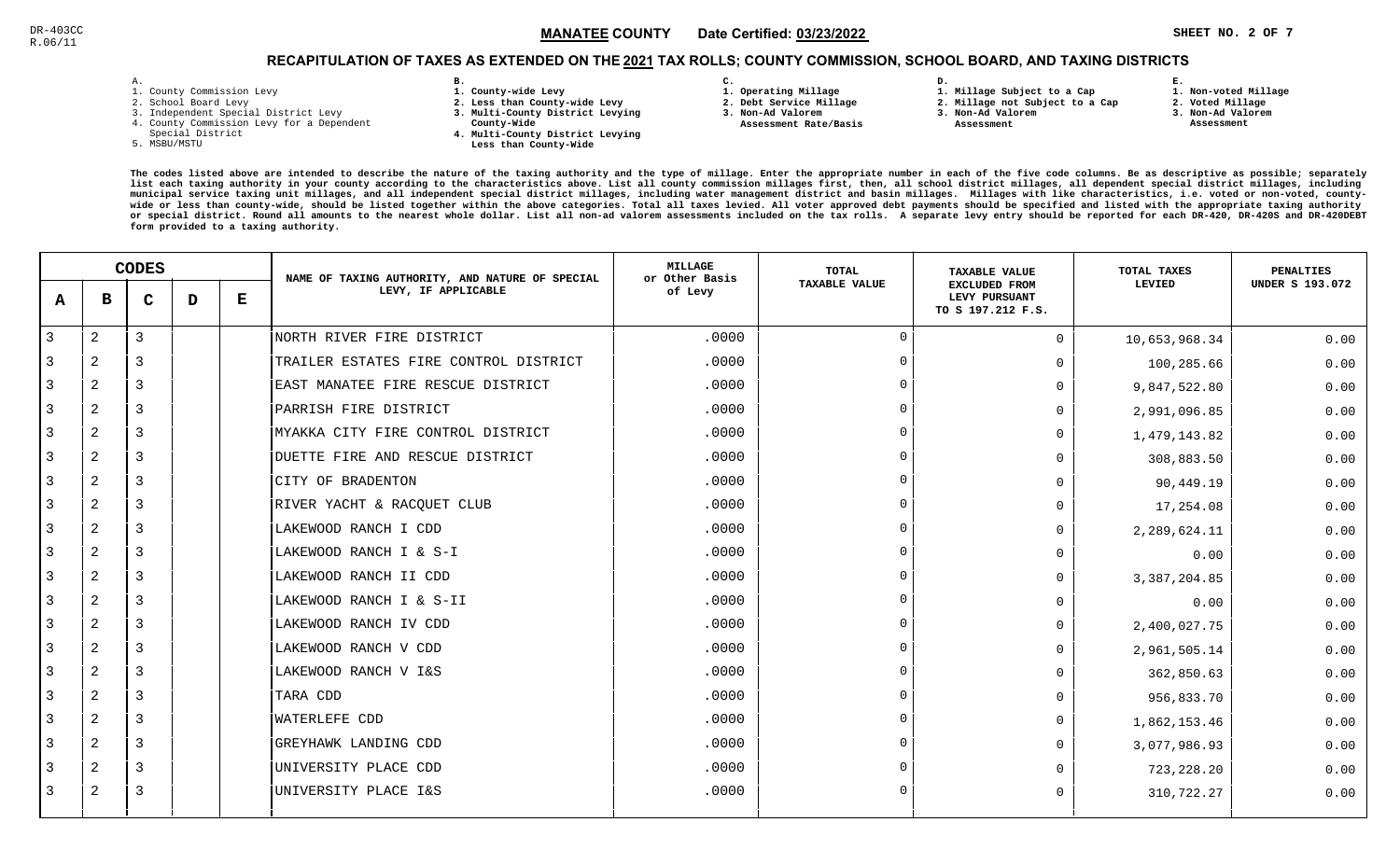### $\mathbb{S}^{\text{C}}$  and the state  $\mathbb{S}$  and  $\mathbb{M}$  and  $\mathbb{M}$  and  $\mathbb{S}$  and  $\mathbb{S}$  and  $\mathbb{S}$  and  $\mathbb{S}$  and  $\mathbb{S}$  and  $\mathbb{S}$  and  $\mathbb{S}$  and  $\mathbb{S}$  and  $\mathbb{S}$  and  $\mathbb{S}$  and  $\mathbb{S}$  and  $\mathbb{S}$  a MANATEE CO

**1. Non-voted Millage**

## RECAPITULATION OF TAXES AS EXTENDED ON THE <u>2021</u> TAX ROLLS; COUNTY COMMISSION, SCHOOL BOARD, AND TAXING DISTRICTS

| ۰ |  |  |
|---|--|--|

- 1. County Commission Levy
- 2. School Board Levy
- 3. Independent Special District Levy
- 4. County Commission Levy for a Dependent
- Special District
- 5. MSBU/MSTU
- **B. 1. County-wide Levy**
- **2. Less than County-wide Levy**
- **3. Multi-County District Levying**
- **County-Wide** 
	- **4. Multi-County District Levying Less than County-Wide**
- **C.**
- **1. Operating Millage**
- **2. Debt Service Millage 3. Non-Ad Valorem**
- **Assessment Rate/Basis**
- **1. Millage Subject to a Cap2. Millage not Subject to a Cap**

**D.** 

- **3. Non-Ad Valorem**
	- **Assessment**
- **2. Voted Millage**

**E.**

- **3. Non-Ad Valorem**
- **Assessment**

|              | <b>CODES</b> |   |   | NAME OF TAXING AUTHORITY, AND NATURE OF SPECIAL | MILLAGE<br>or Other Basis             | <b>TOTAL</b> | <b>TAXABLE VALUE</b> | TOTAL TAXES                                                | PENALTIES      |                        |
|--------------|--------------|---|---|-------------------------------------------------|---------------------------------------|--------------|----------------------|------------------------------------------------------------|----------------|------------------------|
| $\mathbf{A}$ | в            | C | D | Е                                               | LEVY, IF APPLICABLE                   | of Levy      | <b>TAXABLE VALUE</b> | <b>EXCLUDED FROM</b><br>LEVY PURSUANT<br>TO S 197.212 F.S. | LEVIED         | <b>UNDER S 193.072</b> |
| 3            | $\mathbf{2}$ | 3 |   |                                                 | NORTH RIVER FIRE DISTRICT             | .0000        | $\cap$               | $\Omega$                                                   | 10,653,968.34  | 0.00                   |
| 3            | 2            | 3 |   |                                                 | TRAILER ESTATES FIRE CONTROL DISTRICT | .0000        | $\overline{0}$       | <sup>n</sup>                                               | 100,285.66     | 0.00                   |
| 3            | 2            | 3 |   |                                                 | EAST MANATEE FIRE RESCUE DISTRICT     | .0000        | $\Omega$             | $\Omega$                                                   | 9,847,522.80   | 0.00                   |
| 3            | 2            | 3 |   |                                                 | PARRISH FIRE DISTRICT                 | .0000        | $\Omega$             | $\Omega$                                                   | 2,991,096.85   | 0.00                   |
| 3            | 2            | 3 |   |                                                 | MYAKKA CITY FIRE CONTROL DISTRICT     | .0000        | $\Omega$             | <sup>n</sup>                                               | 1,479,143.82   | 0.00                   |
| 3            | $\mathbf{2}$ | 3 |   |                                                 | DUETTE FIRE AND RESCUE DISTRICT       | .0000        | $\Omega$             | <sup>n</sup>                                               | 308,883.50     | 0.00                   |
| 3            | 2            | 3 |   |                                                 | CITY OF BRADENTON                     | .0000        | $\Omega$             | <sup>n</sup>                                               | 90,449.19      | 0.00                   |
| 3            | 2            | 3 |   |                                                 | RIVER YACHT & RACQUET CLUB            | .0000        | $\cap$               | $\Omega$                                                   | 17,254.08      | 0.00                   |
|              | 2            | 3 |   |                                                 | LAKEWOOD RANCH I CDD                  | .0000        | $\cap$               | $\Omega$                                                   | 2,289,624.11   | 0.00                   |
| 3            | 2            | 3 |   |                                                 | LAKEWOOD RANCH I & S-I                | .0000        | $\cap$               | $\Omega$                                                   | 0.00           | 0.00                   |
| 3            | 2            | 3 |   |                                                 | LAKEWOOD RANCH II CDD                 | .0000        | $\Omega$             | $\Omega$                                                   | 3, 387, 204.85 | 0.00                   |
| 3            | 2            | 3 |   |                                                 | LAKEWOOD RANCH I & S-II               | .0000        | $\Omega$             | <sup>n</sup>                                               | 0.00           | 0.00                   |
| 3            | 2            | 3 |   |                                                 | LAKEWOOD RANCH IV CDD                 | .0000        | $\Omega$             | <sup>n</sup>                                               | 2,400,027.75   | 0.00                   |
|              | 2            | 3 |   |                                                 | LAKEWOOD RANCH V CDD                  | .0000        | $\cap$               | $\Omega$                                                   | 2,961,505.14   | 0.00                   |
| 3            | 2            | 3 |   |                                                 | LAKEWOOD RANCH V I&S                  | .0000        | $\Omega$             | $\Omega$                                                   | 362,850.63     | 0.00                   |
| 3            | 2            | 3 |   |                                                 | TARA CDD                              | .0000        | $\Omega$             | <sup>n</sup>                                               | 956,833.70     | 0.00                   |
| 3            | 2            | 3 |   |                                                 | WATERLEFE CDD                         | .0000        | $\Omega$             | $\Omega$                                                   | 1,862,153.46   | 0.00                   |
| 3            | 2            | 3 |   |                                                 | GREYHAWK LANDING CDD                  | .0000        | $\Omega$             | <sup>n</sup>                                               | 3,077,986.93   | 0.00                   |
|              | 2            | 3 |   |                                                 | UNIVERSITY PLACE CDD                  | .0000        | $\Omega$             |                                                            | 723,228.20     | 0.00                   |
| 3            | 2            | 3 |   |                                                 | UNIVERSITY PLACE I&S                  | .0000        | $\Omega$             | $\Omega$                                                   | 310,722.27     | 0.00                   |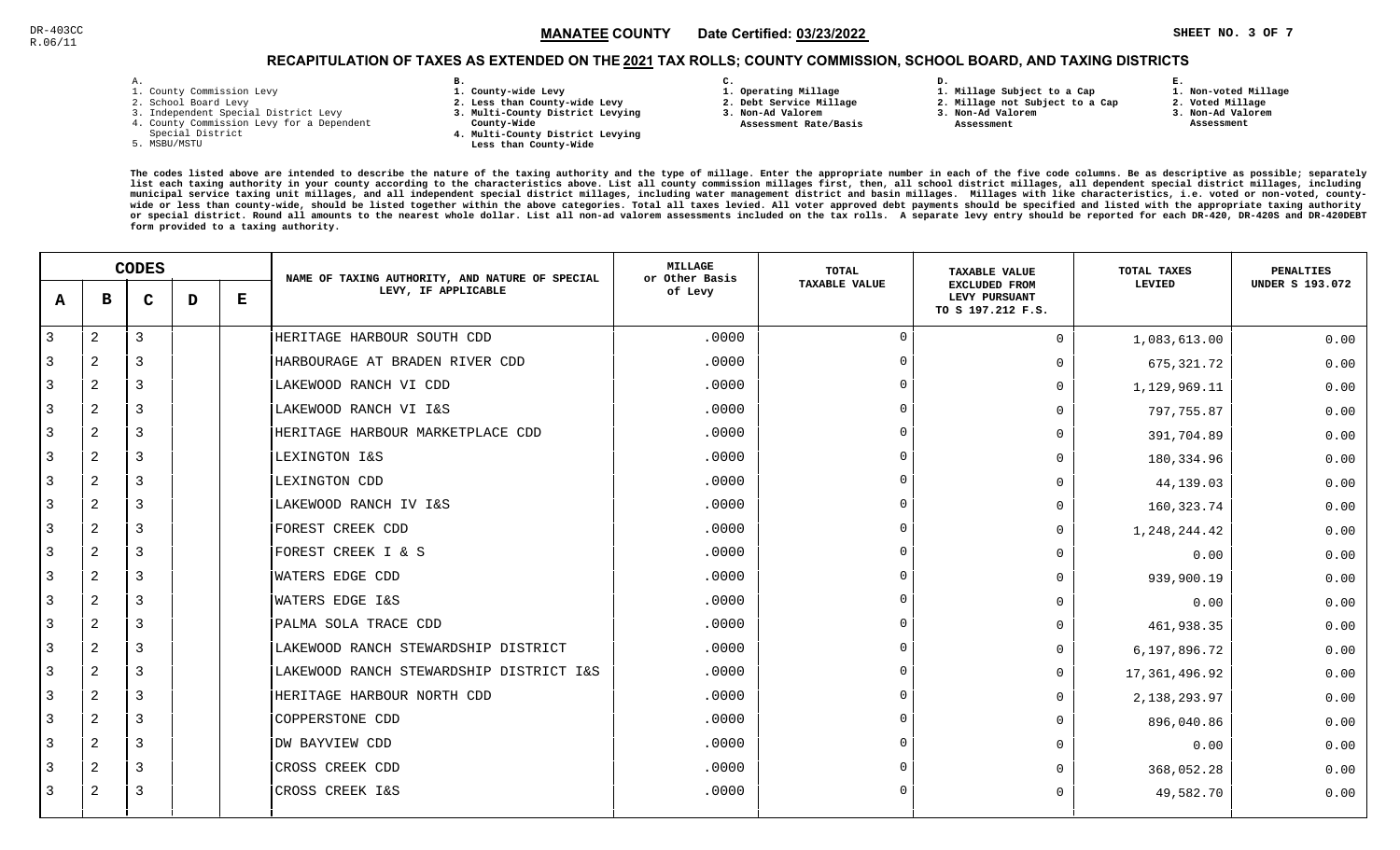### $\texttt{MANATEE}$  COUNTY Date Certified: <u>03/23/2022</u>  $\texttt{MANATEE}$  . The set of the set of the set of the set of the set of the set of the set of the set of the set of the set of the set of the set of the set of the set of the s MANATEE CO

**1. Non-voted Millage**

## RECAPITULATION OF TAXES AS EXTENDED ON THE <u>2021</u> TAX ROLLS; COUNTY COMMISSION, SCHOOL BOARD, AND TAXING DISTRICTS

| ۰ |  |  |
|---|--|--|

- 1. County Commission Levy
- 2. School Board Levy
- 3. Independent Special District Levy
- 4. County Commission Levy for a Dependent
- Special District
- 5. MSBU/MSTU
- **B. 1. County-wide Levy**
- **2. Less than County-wide Levy**
- **3. Multi-County District Levying**
- **County-Wide** 
	- **4. Multi-County District Levying Less than County-Wide**
- **C.**
- **1. Operating Millage**
- **2. Debt Service Millage 3. Non-Ad Valorem**
- **Assessment Rate/Basis**
- **2. Millage not Subject to a Cap3. Non-Ad Valorem**

**D.** 

 **Assessment** 

**1. Millage Subject to a Cap**

- 
- **2. Voted Millage3. Non-Ad Valorem**

**E.**

 **Assessment**

|                | <b>CODES</b>   |                |   | NAME OF TAXING AUTHORITY, AND NATURE OF SPECIAL | <b>MILLAGE</b><br>or Other Basis        | <b>TOTAL</b> | <b>TAXABLE VALUE</b> | <b>TOTAL TAXES</b>                                         | <b>PENALTIES</b> |                        |
|----------------|----------------|----------------|---|-------------------------------------------------|-----------------------------------------|--------------|----------------------|------------------------------------------------------------|------------------|------------------------|
| $\mathbf{A}$   | в              | C              | D | $\bf E$                                         | LEVY, IF APPLICABLE                     | of Levy      | <b>TAXABLE VALUE</b> | <b>EXCLUDED FROM</b><br>LEVY PURSUANT<br>TO S 197.212 F.S. | LEVIED           | <b>UNDER S 193.072</b> |
| $\overline{3}$ | 2              | $\mathbf{3}$   |   |                                                 | HERITAGE HARBOUR SOUTH CDD              | .0000        | $\mathbf 0$          | $\Omega$                                                   | 1,083,613.00     | 0.00                   |
| 3              | $\overline{2}$ | 3              |   |                                                 | HARBOURAGE AT BRADEN RIVER CDD          | .0000        | $\Omega$             | $\Omega$                                                   | 675, 321.72      | 0.00                   |
| $\overline{3}$ | 2              | 3              |   |                                                 | LAKEWOOD RANCH VI CDD                   | .0000        | $\Omega$             | $\overline{0}$                                             | 1,129,969.11     | 0.00                   |
| 3              | 2              | 3              |   |                                                 | LAKEWOOD RANCH VI I&S                   | .0000        | $\cap$               | $\Omega$                                                   | 797,755.87       | 0.00                   |
| $\overline{3}$ | 2              | $\overline{3}$ |   |                                                 | HERITAGE HARBOUR MARKETPLACE CDD        | .0000        | $\Omega$             | $\Omega$                                                   | 391,704.89       | 0.00                   |
| $\overline{3}$ | 2              | $\overline{3}$ |   |                                                 | LEXINGTON I&S                           | .0000        | $\Omega$             | $\Omega$                                                   | 180,334.96       | 0.00                   |
| $\overline{3}$ | 2              | $\overline{3}$ |   |                                                 | LEXINGTON CDD                           | .0000        | $\Omega$             | $\Omega$                                                   | 44,139.03        | 0.00                   |
| 3              | 2              | $\overline{3}$ |   |                                                 | LAKEWOOD RANCH IV I&S                   | .0000        | $\cap$               | $\Omega$                                                   | 160, 323.74      | 0.00                   |
| -3             | $\overline{2}$ | 3              |   |                                                 | FOREST CREEK CDD                        | .0000        | $\Omega$             | $\Omega$                                                   | 1,248,244.42     | 0.00                   |
| 3              | 2              | 3              |   |                                                 | FOREST CREEK I & S                      | .0000        | $\cap$               | $\Omega$                                                   | 0.00             | 0.00                   |
| 3              | 2              | $\overline{3}$ |   |                                                 | <b>WATERS EDGE CDD</b>                  | .0000        | $\Omega$             | $\Omega$                                                   | 939,900.19       | 0.00                   |
| $\overline{3}$ | 2              | $\overline{3}$ |   |                                                 | WATERS EDGE I&S                         | .0000        | $\Omega$             | $\Omega$                                                   | 0.00             | 0.00                   |
| $\overline{3}$ | 2              | $\overline{3}$ |   |                                                 | PALMA SOLA TRACE CDD                    | .0000        | $\Omega$             | $\Omega$                                                   | 461,938.35       | 0.00                   |
| 3              | 2              | $\overline{3}$ |   |                                                 | LAKEWOOD RANCH STEWARDSHIP DISTRICT     | .0000        | $\Omega$             | $\Omega$                                                   | 6,197,896.72     | 0.00                   |
| $\overline{3}$ | 2              | $\overline{3}$ |   |                                                 | LAKEWOOD RANCH STEWARDSHIP DISTRICT I&S | .0000        | $\Omega$             | $\Omega$                                                   | 17,361,496.92    | 0.00                   |
| -3             | 2              | 3              |   |                                                 | HERITAGE HARBOUR NORTH CDD              | .0000        | $\Omega$             | $\Omega$                                                   | 2, 138, 293.97   | 0.00                   |
| 3              | 2              | 3              |   |                                                 | COPPERSTONE CDD                         | .0000        | $\Omega$             | $\Omega$                                                   | 896,040.86       | 0.00                   |
| 3              | 2              | $\overline{3}$ |   |                                                 | DW BAYVIEW CDD                          | .0000        | $\Omega$             | $\Omega$                                                   | 0.00             | 0.00                   |
| $\overline{3}$ | 2              | $\overline{3}$ |   |                                                 | CROSS CREEK CDD                         | .0000        | $\Omega$             | $\Omega$                                                   | 368,052.28       | 0.00                   |
| 3              | 2              | $\overline{3}$ |   |                                                 | CROSS CREEK I&S                         | .0000        | $\Omega$             | $\Omega$                                                   | 49,582.70        | 0.00                   |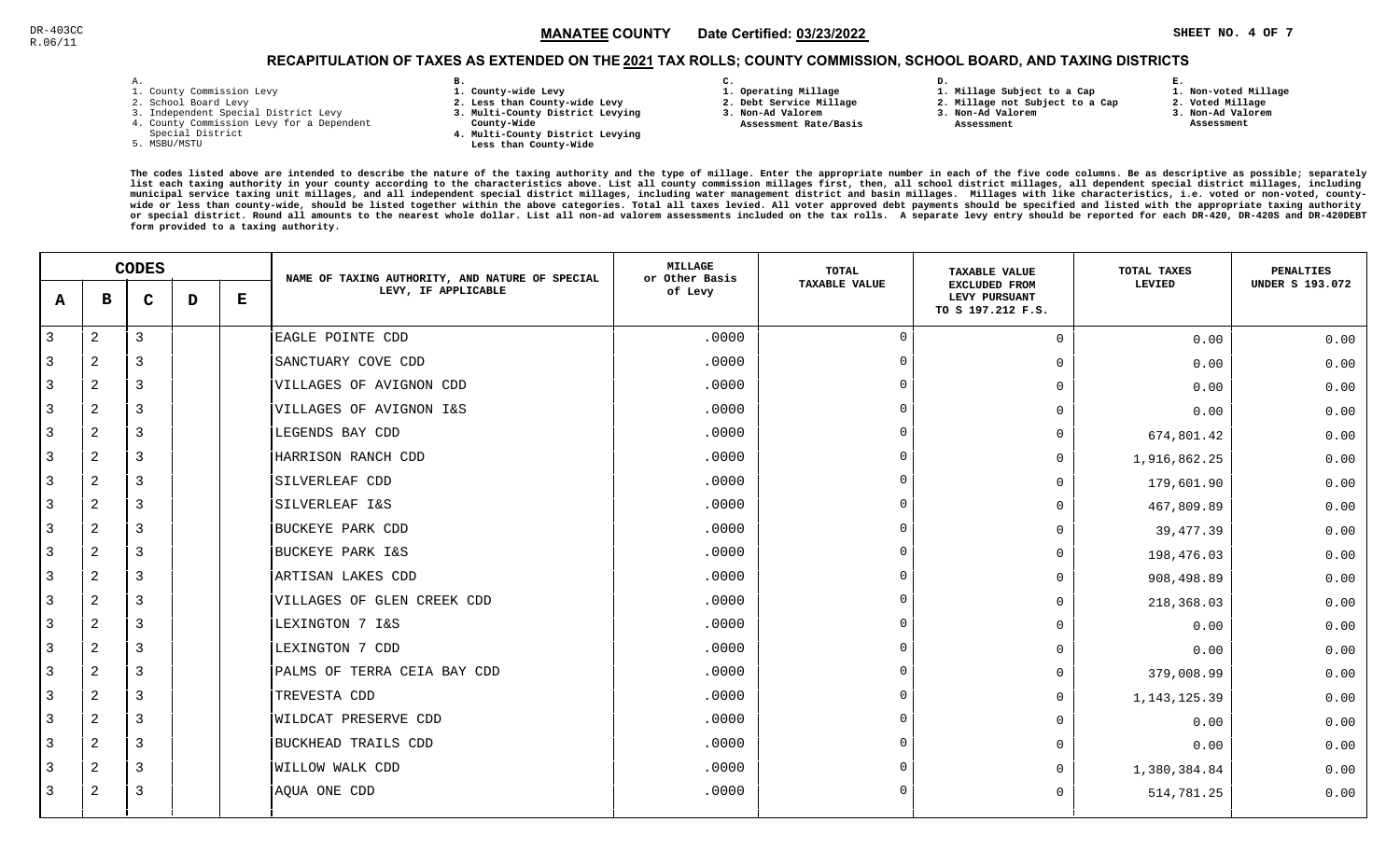### $\blacksquare$   $\blacksquare$   $\blacksquare$   $\blacksquare$   $\blacksquare$   $\blacksquare$   $\blacksquare$   $\blacksquare$   $\blacksquare$   $\blacksquare$   $\blacksquare$   $\blacksquare$   $\blacksquare$   $\blacksquare$   $\blacksquare$   $\blacksquare$   $\blacksquare$   $\blacksquare$   $\blacksquare$   $\blacksquare$   $\blacksquare$   $\blacksquare$   $\blacksquare$   $\blacksquare$   $\blacksquare$   $\blacksquare$   $\blacksquare$   $\blacksquare$   $\blacksquare$   $\blacksquare$   $\blacksquare$   $\blacks$ MANATEE CO

## RECAPITULATION OF TAXES AS EXTENDED ON THE <u>2021</u> TAX ROLLS; COUNTY COMMISSION, SCHOOL BOARD, AND TAXING DISTRICTS

| ۰ |  |  |
|---|--|--|

- 1. County Commission Levy
- 2. School Board Levy
- 3. Independent Special District Levy
- 4. County Commission Levy for a Dependent
- Special District
- 5. MSBU/MSTU
- **B. 1. County-wide Levy**
- **2. Less than County-wide Levy**
- **3. Multi-County District Levying**
- **County-Wide** 
	- **4. Multi-County District Levying Less than County-Wide**
- **C.**
- **1. Operating Millage**

 **Assessment Rate/Basis**

- **2. Debt Service Millage**
- **3. Non-Ad Valorem**
	- **Assessment**

**D.** 

- **2. Millage not Subject to a Cap3. Non-Ad Valorem**
- **1. Millage Subject to a Cap**
- **3. Non-Ad Valorem**

**E.**

- **2. Voted Millage**
	- **Assessment**

**1. Non-voted Millage**

|              | <b>CODES</b>   |                |   | NAME OF TAXING AUTHORITY, AND NATURE OF SPECIAL | <b>MILLAGE</b><br>or Other Basis | TOTAL   | <b>TAXABLE VALUE</b> | TOTAL TAXES                                                | PENALTIES    |                        |
|--------------|----------------|----------------|---|-------------------------------------------------|----------------------------------|---------|----------------------|------------------------------------------------------------|--------------|------------------------|
| A            | в              | $\mathbf C$    | D | Е                                               | LEVY, IF APPLICABLE              | of Levy | <b>TAXABLE VALUE</b> | <b>EXCLUDED FROM</b><br>LEVY PURSUANT<br>TO S 197.212 F.S. | LEVIED       | <b>UNDER S 193.072</b> |
| $\mathbf{3}$ | 2              | $\overline{3}$ |   |                                                 | EAGLE POINTE CDD                 | .0000   | $\Omega$             | $\Omega$                                                   | 0.00         | 0.00                   |
| 3            | $\overline{a}$ | 3              |   |                                                 | SANCTUARY COVE CDD               | .0000   | $\overline{0}$       | 0                                                          | 0.00         | 0.00                   |
| 3            | 2              | 3              |   |                                                 | VILLAGES OF AVIGNON CDD          | .0000   | $\Omega$             | <sup>n</sup>                                               | 0.00         | 0.00                   |
| 3            | 2              | $\overline{3}$ |   |                                                 | VILLAGES OF AVIGNON I&S          | .0000   | $\overline{0}$       | 0                                                          | 0.00         | 0.00                   |
| 3            | 2              | $\overline{3}$ |   |                                                 | LEGENDS BAY CDD                  | .0000   | $\Omega$             | 0                                                          | 674,801.42   | 0.00                   |
| 3            | 2              | $\overline{3}$ |   |                                                 | HARRISON RANCH CDD               | .0000   | $\overline{0}$       | $\Omega$                                                   | 1,916,862.25 | 0.00                   |
| 3            | $\mathbf{2}$   | 3              |   |                                                 | SILVERLEAF CDD                   | .0000   | $\Omega$             | 0                                                          | 179,601.90   | 0.00                   |
| 3            | 2              | 3              |   |                                                 | SILVERLEAF I&S                   | .0000   | $\Omega$             | O.                                                         | 467,809.89   | 0.00                   |
| 3            | 2              | 3              |   |                                                 | BUCKEYE PARK CDD                 | .0000   | $\Omega$             | 0                                                          | 39, 477.39   | 0.00                   |
| 3            | 2              | 3              |   |                                                 | BUCKEYE PARK I&S                 | .0000   | $\Omega$             | 0                                                          | 198,476.03   | 0.00                   |
| 3            | 2              | $\overline{3}$ |   |                                                 | ARTISAN LAKES CDD                | .0000   | $\Omega$             | 0                                                          | 908,498.89   | 0.00                   |
| 3            | 2              | $\overline{3}$ |   |                                                 | VILLAGES OF GLEN CREEK CDD       | .0000   | $\overline{0}$       | 0                                                          | 218,368.03   | 0.00                   |
| 3            | 2              | 3              |   |                                                 | LEXINGTON 7 I&S                  | .0000   | $\Omega$             | 0                                                          | 0.00         | 0.00                   |
| 3            | 2              | 3              |   |                                                 | LEXINGTON 7 CDD                  | .0000   | $\Omega$             | 0                                                          | 0.00         | 0.00                   |
| 3            | 2              | 3              |   |                                                 | PALMS OF TERRA CEIA BAY CDD      | .0000   | $\Omega$             | 0                                                          | 379,008.99   | 0.00                   |
| 3            | 2              | 3              |   |                                                 | TREVESTA CDD                     | .0000   | $\Omega$             | $\Omega$                                                   | 1,143,125.39 | 0.00                   |
| 3            | 2              | 3              |   |                                                 | WILDCAT PRESERVE CDD             | .0000   | $\Omega$             | 0                                                          | 0.00         | 0.00                   |
| 3            | $\overline{a}$ | 3              |   |                                                 | BUCKHEAD TRAILS CDD              | .0000   | $\Omega$             | $\Omega$                                                   | 0.00         | 0.00                   |
| 3            | 2              | $\overline{3}$ |   |                                                 | WILLOW WALK CDD                  | .0000   | $\overline{0}$       | 0                                                          | 1,380,384.84 | 0.00                   |
| 3            | 2              | 3              |   |                                                 | AQUA ONE CDD                     | .0000   | $\overline{0}$       | 0                                                          | 514,781.25   | 0.00                   |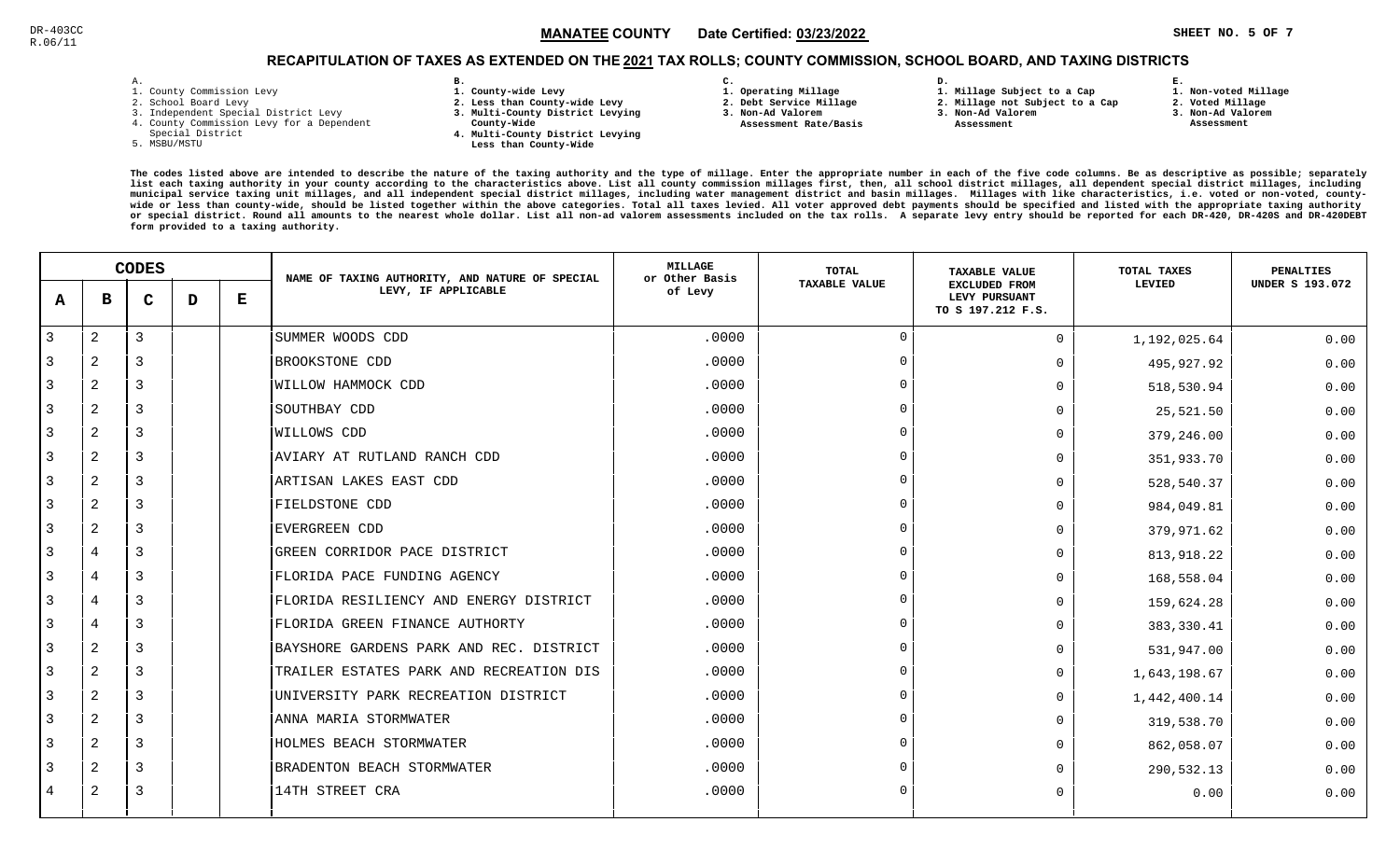### $\texttt{MANATEE}$  COUNTY Date Certified: <u>03/23/2022</u>  $\texttt{MANATEE}$  . The set of the set of the set of the set of the set of the set of the set of the set of the set of the set of the set of the set of the set of the set of the s MANATEE CO

**1. Non-voted Millage**

## RECAPITULATION OF TAXES AS EXTENDED ON THE <u>2021</u> TAX ROLLS; COUNTY COMMISSION, SCHOOL BOARD, AND TAXING DISTRICTS

| – | ٠ |  |  |
|---|---|--|--|

- 1. County Commission Levy
- 2. School Board Levy
- 3. Independent Special District Levy
- 4. County Commission Levy for a Dependent
- Special District
- 5. MSBU/MSTU
- **B. 1. County-wide Levy**
- **2. Less than County-wide Levy**
- **3. Multi-County District Levying**
- **County-Wide** 
	- **4. Multi-County District Levying Less than County-Wide**
- **C.**
- **1. Operating Millage**
- **2. Debt Service Millage 3. Non-Ad Valorem**
- **Assessment Rate/Basis**
- **2. Millage not Subject to a Cap3. Non-Ad Valorem**

**D.** 

 **Assessment** 

**1. Millage Subject to a Cap**

- 
- **3. Non-Ad Valorem Assessment**

**E.**

**2. Voted Millage**

|                | <b>CODES</b>   |                |   | NAME OF TAXING AUTHORITY, AND NATURE OF SPECIAL | <b>MILLAGE</b><br>or Other Basis        | <b>TOTAL</b> | <b>TAXABLE VALUE</b> | TOTAL TAXES                                                | <b>PENALTIES</b> |                        |
|----------------|----------------|----------------|---|-------------------------------------------------|-----------------------------------------|--------------|----------------------|------------------------------------------------------------|------------------|------------------------|
| A              | в              | C              | D | Е                                               | LEVY, IF APPLICABLE                     | of Levy      | <b>TAXABLE VALUE</b> | <b>EXCLUDED FROM</b><br>LEVY PURSUANT<br>TO S 197.212 F.S. | LEVIED           | <b>UNDER S 193.072</b> |
| $\overline{3}$ | $\overline{2}$ | 3              |   |                                                 | SUMMER WOODS CDD                        | .0000        | $\Omega$             | $\Omega$                                                   | 1,192,025.64     | 0.00                   |
| 3              | $\overline{2}$ | 3              |   |                                                 | BROOKSTONE CDD                          | .0000        | $\Omega$             | $\Omega$                                                   | 495,927.92       | 0.00                   |
| 3              | $\overline{2}$ | 3              |   |                                                 | WILLOW HAMMOCK CDD                      | .0000        |                      | $\Omega$                                                   | 518,530.94       | 0.00                   |
| 3              | 2              | 3              |   |                                                 | SOUTHBAY CDD                            | .0000        | $\cap$               | $\Omega$                                                   | 25,521.50        | 0.00                   |
| 3              | 2              | 3              |   |                                                 | WILLOWS CDD                             | .0000        |                      | 0                                                          | 379,246.00       | 0.00                   |
| 3              | $\overline{a}$ | 3              |   |                                                 | AVIARY AT RUTLAND RANCH CDD             | .0000        | $\Omega$             | $\Omega$                                                   | 351,933.70       | 0.00                   |
| 3              | $\overline{a}$ | 3              |   |                                                 | ARTISAN LAKES EAST CDD                  | .0000        |                      | 0                                                          | 528,540.37       | 0.00                   |
| 3              | 2              | 3              |   |                                                 | FIELDSTONE CDD                          | .0000        |                      | $\Omega$                                                   | 984,049.81       | 0.00                   |
| 3              | $\overline{2}$ | 3              |   |                                                 | <b>EVERGREEN CDD</b>                    | .0000        |                      | $\Omega$                                                   | 379,971.62       | 0.00                   |
| 3              | $\overline{4}$ | 3              |   |                                                 | GREEN CORRIDOR PACE DISTRICT            | .0000        |                      | $\Omega$                                                   | 813,918.22       | 0.00                   |
| 3              | $\overline{4}$ | $\overline{3}$ |   |                                                 | FLORIDA PACE FUNDING AGENCY             | .0000        | $\Omega$             | 0                                                          | 168,558.04       | 0.00                   |
| 3              | $\overline{4}$ | 3              |   |                                                 | FLORIDA RESILIENCY AND ENERGY DISTRICT  | .0000        | $\cap$               | $\Omega$                                                   | 159,624.28       | 0.00                   |
| 3              | $\overline{4}$ | $\overline{3}$ |   |                                                 | FLORIDA GREEN FINANCE AUTHORTY          | .0000        |                      | U                                                          | 383,330.41       | 0.00                   |
| 3              | $\overline{a}$ | 3              |   |                                                 | BAYSHORE GARDENS PARK AND REC. DISTRICT | .0000        |                      | $\Omega$                                                   | 531,947.00       | 0.00                   |
| 3              | $\overline{2}$ | 3              |   |                                                 | TRAILER ESTATES PARK AND RECREATION DIS | .0000        |                      | $\Omega$                                                   | 1,643,198.67     | 0.00                   |
| 3              | $\overline{2}$ | 3              |   |                                                 | UNIVERSITY PARK RECREATION DISTRICT     | .0000        |                      | $\Omega$                                                   | 1,442,400.14     | 0.00                   |
| 3              | 2              | 3              |   |                                                 | ANNA MARIA STORMWATER                   | .0000        |                      | $\Omega$                                                   | 319,538.70       | 0.00                   |
| 3              | 2              | 3              |   |                                                 | HOLMES BEACH STORMWATER                 | .0000        | $\Omega$             | $\Omega$                                                   | 862,058.07       | 0.00                   |
| 3              | $\overline{a}$ | 3              |   |                                                 | BRADENTON BEACH STORMWATER              | .0000        | $\Omega$             | 0                                                          | 290,532.13       | 0.00                   |
| 4              | 2              | 3              |   |                                                 | 14TH STREET CRA                         | .0000        |                      | $\Omega$                                                   | 0.00             | 0.00                   |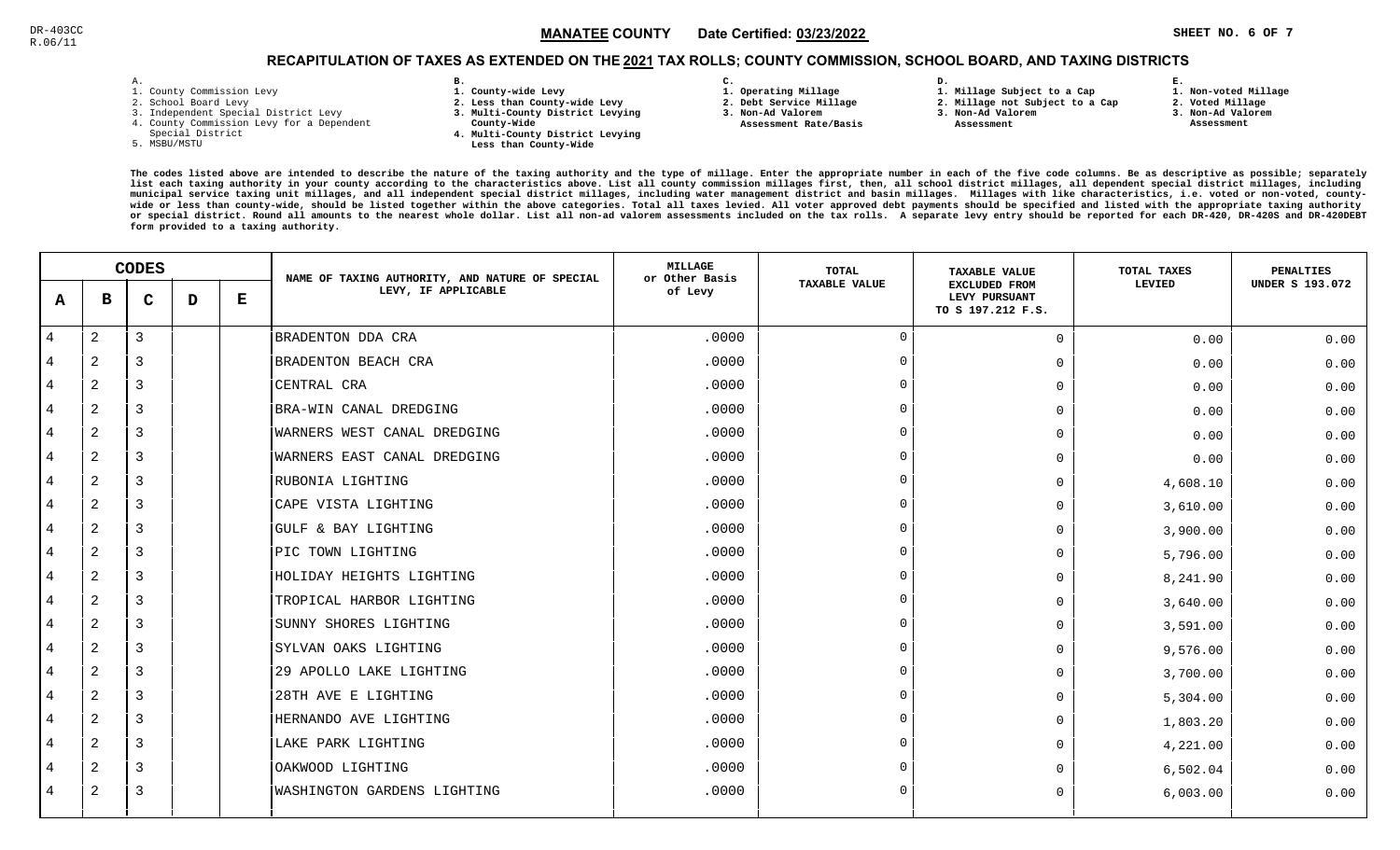### $\texttt{MANATEE}$  COUNTY Date Certified: <u>03/23/2022</u>  $\texttt{MANATEE}$  . The set of the set of the set of the set of the set of the set of the set of the set of the set of the set of the set of the set of the set of the set of the s MANATEE CO

**1. Non-voted Millage**

## RECAPITULATION OF TAXES AS EXTENDED ON THE <u>2021</u> TAX ROLLS; COUNTY COMMISSION, SCHOOL BOARD, AND TAXING DISTRICTS

| – | ٠ |  |  |
|---|---|--|--|

- 1. County Commission Levy
- 2. School Board Levy
- 3. Independent Special District Levy
- 4. County Commission Levy for a Dependent
- Special District
- 5. MSBU/MSTU
- **B. 1. County-wide Levy**
- **2. Less than County-wide Levy**
- **3. Multi-County District Levying**
- **County-Wide** 
	- **4. Multi-County District Levying Less than County-Wide**
- **C.**
- **1. Operating Millage**
- **2. Debt Service Millage 3. Non-Ad Valorem**
- **Assessment Rate/Basis**
- **1. Millage Subject to a Cap2. Millage not Subject to a Cap**

**D.** 

- **3. Non-Ad Valorem**
	- **Assessment**

**2. Voted Millage**

**E.**

- **3. Non-Ad Valorem**
- **Assessment**

|                |                | <b>CODES</b> |   |   | NAME OF TAXING AUTHORITY, AND NATURE OF SPECIAL | <b>MILLAGE</b><br>or Other Basis | TOTAL                | <b>TAXABLE VALUE</b>                                       | TOTAL TAXES | <b>PENALTIES</b>       |
|----------------|----------------|--------------|---|---|-------------------------------------------------|----------------------------------|----------------------|------------------------------------------------------------|-------------|------------------------|
| A              | в              | C            | D | Е | LEVY, IF APPLICABLE                             | of Levy                          | <b>TAXABLE VALUE</b> | <b>EXCLUDED FROM</b><br>LEVY PURSUANT<br>TO S 197.212 F.S. | LEVIED      | <b>UNDER S 193.072</b> |
| 4              | 2              | 3            |   |   | BRADENTON DDA CRA                               | .0000                            | $\overline{0}$       | $\Omega$                                                   | 0.00        | 0.00                   |
| 4              | 2              | 3            |   |   | BRADENTON BEACH CRA                             | .0000                            | $\overline{0}$       | $\Omega$                                                   | 0.00        | 0.00                   |
| $\overline{4}$ | 2              | 3            |   |   | CENTRAL CRA                                     | .0000                            | $\Omega$             | $\Omega$                                                   | 0.00        | 0.00                   |
| 4              | 2              | 3            |   |   | BRA-WIN CANAL DREDGING                          | .0000                            | $\Omega$             | $\Omega$                                                   | 0.00        | 0.00                   |
| $\overline{4}$ | 2              | 3            |   |   | WARNERS WEST CANAL DREDGING                     | .0000                            | $\Omega$             | 0                                                          | 0.00        | 0.00                   |
| 4              | 2              | 3            |   |   | WARNERS EAST CANAL DREDGING                     | .0000                            | $\Omega$             | $\Omega$                                                   | 0.00        | 0.00                   |
| 4              | $\overline{a}$ | 3            |   |   | RUBONIA LIGHTING                                | .0000                            | $\Omega$             | $\Omega$                                                   | 4,608.10    | 0.00                   |
| 4              | 2              | 3            |   |   | CAPE VISTA LIGHTING                             | .0000                            | $\Omega$             | $\Omega$                                                   | 3,610.00    | 0.00                   |
| 4              | $\overline{2}$ | 3            |   |   | GULF & BAY LIGHTING                             | .0000                            | $\Omega$             | $\Omega$                                                   | 3,900.00    | 0.00                   |
| $\overline{4}$ | 2              | 3            |   |   | PIC TOWN LIGHTING                               | .0000                            | $\Omega$             | $\Omega$                                                   | 5,796.00    | 0.00                   |
| 4              | $\overline{2}$ | 3            |   |   | HOLIDAY HEIGHTS LIGHTING                        | .0000                            | $\overline{0}$       | $\Omega$                                                   | 8,241.90    | 0.00                   |
| 4              | 2              | 3            |   |   | TROPICAL HARBOR LIGHTING                        | .0000                            | $\Omega$             | $\Omega$                                                   | 3,640.00    | 0.00                   |
| 4              | 2              | 3            |   |   | SUNNY SHORES LIGHTING                           | .0000                            | $\Omega$             | $\Omega$                                                   | 3,591.00    | 0.00                   |
| 4              | 2              | 3            |   |   | SYLVAN OAKS LIGHTING                            | .0000                            | $\Omega$             | $\Omega$                                                   | 9,576.00    | 0.00                   |
| 4              | 2              | 3            |   |   | 29 APOLLO LAKE LIGHTING                         | .0000                            | $\overline{0}$       | $\Omega$                                                   | 3,700.00    | 0.00                   |
| 4              | 2              | 3            |   |   | 28TH AVE E LIGHTING                             | .0000                            | $\Omega$             | $\Omega$                                                   | 5,304.00    | 0.00                   |
| 4              | $\overline{a}$ | 3            |   |   | HERNANDO AVE LIGHTING                           | .0000                            | $\overline{0}$       | $\Omega$                                                   | 1,803.20    | 0.00                   |
| 4              | 2              | 3            |   |   | LAKE PARK LIGHTING                              | .0000                            | $\overline{0}$       | $\Omega$                                                   | 4,221.00    | 0.00                   |
| 4              | 2              | 3            |   |   | OAKWOOD LIGHTING                                | .0000                            | $\Omega$             | $\Omega$                                                   | 6,502.04    | 0.00                   |
| $\overline{4}$ | 2              | 3            |   |   | WASHINGTON GARDENS LIGHTING                     | .0000                            | $\Omega$             | $\Omega$                                                   | 6,003.00    | 0.00                   |